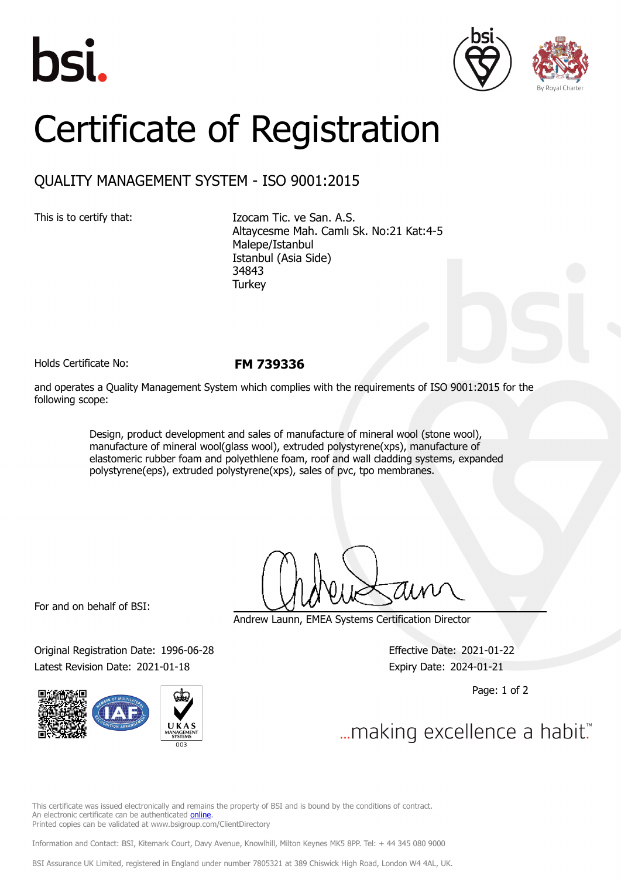





## Certificate of Registration

## QUALITY MANAGEMENT SYSTEM - ISO 9001:2015

This is to certify that: Izocam Tic. ve San. A.S. Altaycesme Mah. Camlı Sk. No:21 Kat:4-5 Malepe/Istanbul Istanbul (Asia Side) 34843 **Turkey** 

Holds Certificate No: **FM 739336**

and operates a Quality Management System which complies with the requirements of ISO 9001:2015 for the following scope:

> Design, product development and sales of manufacture of mineral wool (stone wool), manufacture of mineral wool(glass wool), extruded polystyrene(xps), manufacture of elastomeric rubber foam and polyethlene foam, roof and wall cladding systems, expanded polystyrene(eps), extruded polystyrene(xps), sales of pvc, tpo membranes.

For and on behalf of BSI:

Original Registration Date: 1996-06-28 Effective Date: 2021-01-22 Latest Revision Date: 2021-01-18 Expiry Date: 2024-01-21



Andrew Launn, EMEA Systems Certification Director

Page: 1 of 2

... making excellence a habit."

This certificate was issued electronically and remains the property of BSI and is bound by the conditions of contract. An electronic certificate can be authenticated [online](https://pgplus.bsigroup.com/CertificateValidation/CertificateValidator.aspx?CertificateNumber=FM+739336&ReIssueDate=18%2f01%2f2021&Template=cemea_en). Printed copies can be validated at www.bsigroup.com/ClientDirectory

Information and Contact: BSI, Kitemark Court, Davy Avenue, Knowlhill, Milton Keynes MK5 8PP. Tel: + 44 345 080 9000

BSI Assurance UK Limited, registered in England under number 7805321 at 389 Chiswick High Road, London W4 4AL, UK.